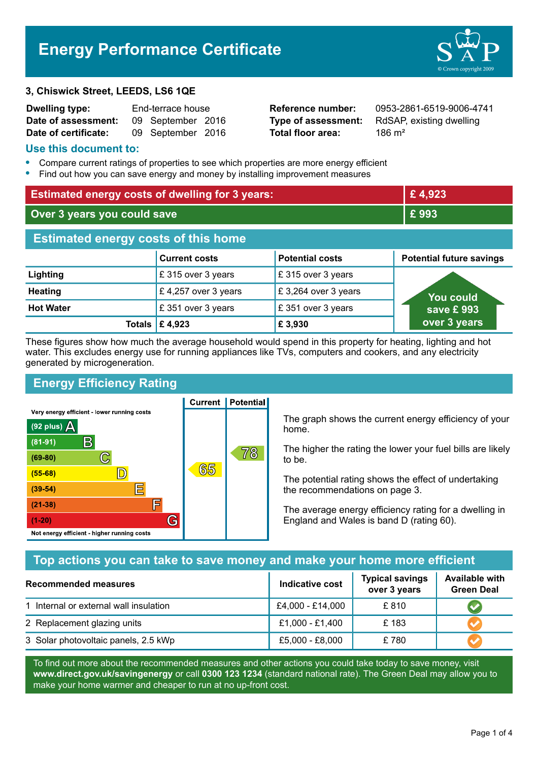# **Energy Performance Certificate**

#### **3, Chiswick Street, LEEDS, LS6 1QE**

| <b>Dwelling type:</b> | End-terrace house |                   |  |
|-----------------------|-------------------|-------------------|--|
| Date of assessment:   |                   | 09 September 2016 |  |
| Date of certificate:  |                   | 09 September 2016 |  |

**Total floor area:** 186 m<sup>2</sup>

**Reference number:** 0953-2861-6519-9006-4741 **Type of assessment:** RdSAP, existing dwelling

#### **Use this document to:**

- **•** Compare current ratings of properties to see which properties are more energy efficient
- **•** Find out how you can save energy and money by installing improvement measures

| <b>Estimated energy costs of dwelling for 3 years:</b> |                           |                        | £4,923                          |
|--------------------------------------------------------|---------------------------|------------------------|---------------------------------|
| Over 3 years you could save                            |                           | £993                   |                                 |
| <b>Estimated energy costs of this home</b>             |                           |                        |                                 |
|                                                        | <b>Current costs</b>      | <b>Potential costs</b> | <b>Potential future savings</b> |
| Lighting                                               | £315 over 3 years         | £ 315 over 3 years     |                                 |
| <b>Heating</b>                                         | £4,257 over 3 years       | £3,264 over 3 years    | <b>You could</b>                |
| <b>Hot Water</b>                                       | £351 over 3 years         | £351 over 3 years      | save £ 993                      |
|                                                        | Totals $\mathsf{E}$ 4,923 | £ 3,930                | over 3 years                    |

These figures show how much the average household would spend in this property for heating, lighting and hot water. This excludes energy use for running appliances like TVs, computers and cookers, and any electricity generated by microgeneration.

**Current | Potential** 

## **Energy Efficiency Rating**

Very energy efficient - lower running costs



#### The graph shows the current energy efficiency of your home.

The higher the rating the lower your fuel bills are likely to be.

The potential rating shows the effect of undertaking the recommendations on page 3.

The average energy efficiency rating for a dwelling in England and Wales is band D (rating 60).

## **Top actions you can take to save money and make your home more efficient**

| Recommended measures                   | Indicative cost  | <b>Typical savings</b><br>over 3 years | <b>Available with</b><br><b>Green Deal</b> |
|----------------------------------------|------------------|----------------------------------------|--------------------------------------------|
| 1 Internal or external wall insulation | £4,000 - £14,000 | £810                                   |                                            |
| 2 Replacement glazing units            | £1,000 - £1,400  | £183                                   |                                            |
| 3 Solar photovoltaic panels, 2.5 kWp   | £5,000 - £8,000  | £780                                   |                                            |

To find out more about the recommended measures and other actions you could take today to save money, visit **www.direct.gov.uk/savingenergy** or call **0300 123 1234** (standard national rate). The Green Deal may allow you to make your home warmer and cheaper to run at no up-front cost.

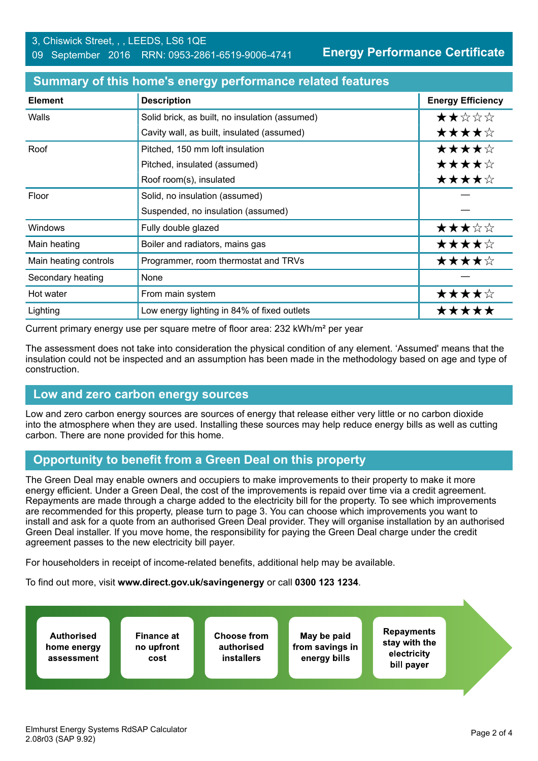| <b>Element</b>        | <b>Description</b>                             | <b>Energy Efficiency</b> |
|-----------------------|------------------------------------------------|--------------------------|
| Walls                 | Solid brick, as built, no insulation (assumed) | ★★☆☆☆                    |
|                       | Cavity wall, as built, insulated (assumed)     | ★★★★☆                    |
| Roof                  | Pitched, 150 mm loft insulation                | ★★★★☆                    |
|                       | Pitched, insulated (assumed)                   | ★★★★☆                    |
|                       | Roof room(s), insulated                        | ★★★★☆                    |
| Floor                 | Solid, no insulation (assumed)                 |                          |
|                       | Suspended, no insulation (assumed)             |                          |
| Windows               | Fully double glazed                            | ★★★☆☆                    |
| Main heating          | Boiler and radiators, mains gas                | ★★★★☆                    |
| Main heating controls | Programmer, room thermostat and TRVs           | ★★★★☆                    |
| Secondary heating     | <b>None</b>                                    |                          |
| Hot water             | From main system                               | ★★★★☆                    |
| Lighting              | Low energy lighting in 84% of fixed outlets    | *****                    |

#### **Summary of this home's energy performance related features**

Current primary energy use per square metre of floor area: 232 kWh/m² per year

The assessment does not take into consideration the physical condition of any element. 'Assumed' means that the insulation could not be inspected and an assumption has been made in the methodology based on age and type of construction.

#### **Low and zero carbon energy sources**

Low and zero carbon energy sources are sources of energy that release either very little or no carbon dioxide into the atmosphere when they are used. Installing these sources may help reduce energy bills as well as cutting carbon. There are none provided for this home.

## **Opportunity to benefit from a Green Deal on this property**

The Green Deal may enable owners and occupiers to make improvements to their property to make it more energy efficient. Under a Green Deal, the cost of the improvements is repaid over time via a credit agreement. Repayments are made through a charge added to the electricity bill for the property. To see which improvements are recommended for this property, please turn to page 3. You can choose which improvements you want to install and ask for a quote from an authorised Green Deal provider. They will organise installation by an authorised Green Deal installer. If you move home, the responsibility for paying the Green Deal charge under the credit agreement passes to the new electricity bill payer.

For householders in receipt of income-related benefits, additional help may be available.

To find out more, visit **www.direct.gov.uk/savingenergy** or call **0300 123 1234**.

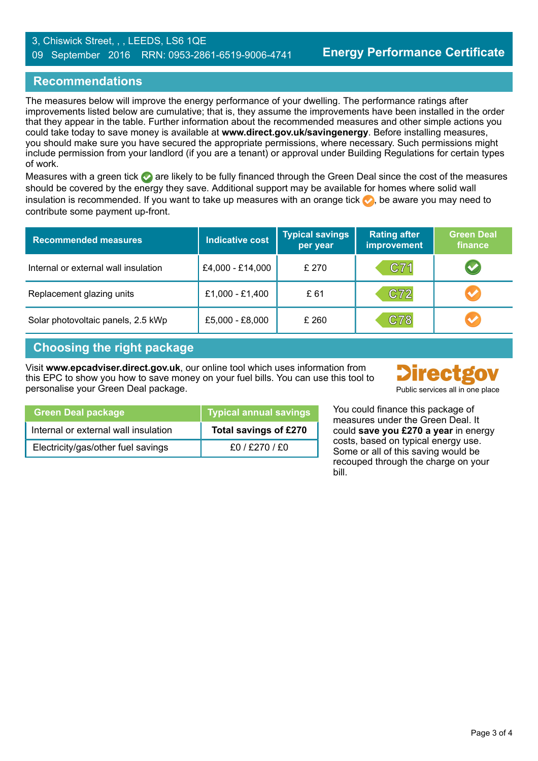#### 3, Chiswick Street, , , LEEDS, LS6 1QE 09 September 2016 RRN: 0953-2861-6519-9006-4741

## **Recommendations**

The measures below will improve the energy performance of your dwelling. The performance ratings after improvements listed below are cumulative; that is, they assume the improvements have been installed in the order that they appear in the table. Further information about the recommended measures and other simple actions you could take today to save money is available at **www.direct.gov.uk/savingenergy**. Before installing measures, you should make sure you have secured the appropriate permissions, where necessary. Such permissions might include permission from your landlord (if you are a tenant) or approval under Building Regulations for certain types of work.

Measures with a green tick are likely to be fully financed through the Green Deal since the cost of the measures should be covered by the energy they save. Additional support may be available for homes where solid wall insulation is recommended. If you want to take up measures with an orange tick  $\bullet$ , be aware you may need to contribute some payment up-front.

| <b>Recommended measures</b>          | <b>Indicative cost</b> | <b>Typical savings</b><br>per year | <b>Rating after</b><br><b>improvement</b> | <b>Green Deal</b><br>finance |
|--------------------------------------|------------------------|------------------------------------|-------------------------------------------|------------------------------|
| Internal or external wall insulation | £4,000 - £14,000       | £ 270                              | C71                                       | V                            |
| Replacement glazing units            | £1,000 - £1,400        | £ 61                               | C72                                       | $\bullet$                    |
| Solar photovoltaic panels, 2.5 kWp   | £5,000 - £8,000        | £ 260                              | C78                                       | $\blacktriangledown$         |

#### **Choosing the right package**

Visit **www.epcadviser.direct.gov.uk**, our online tool which uses information from this EPC to show you how to save money on your fuel bills. You can use this tool to personalise your Green Deal package. Public services all in one place



| Green Deal package                   | Typical annual savings |
|--------------------------------------|------------------------|
| Internal or external wall insulation | Total savings of £270  |
| Electricity/gas/other fuel savings   | f0/ f270/ f0           |

You could finance this package of measures under the Green Deal. It could **save you £270 a year** in energy costs, based on typical energy use. Some or all of this saving would be recouped through the charge on your bill.